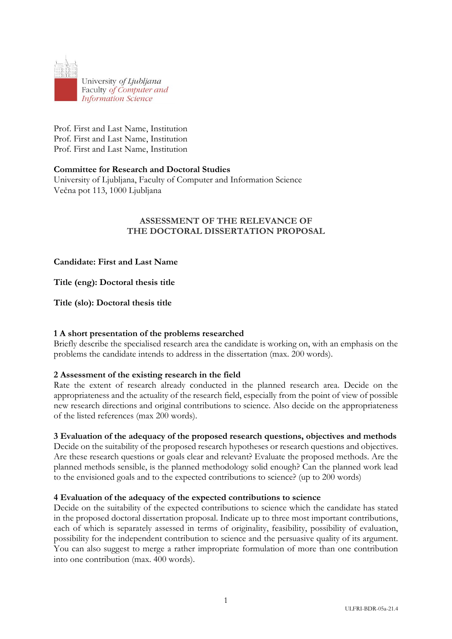

Prof. First and Last Name, Institution Prof. First and Last Name, Institution Prof. First and Last Name, Institution

### **Committee for Research and Doctoral Studies**

University of Ljubljana, Faculty of Computer and Information Science Večna pot 113, 1000 Ljubljana

# **ASSESSMENT OF THE RELEVANCE OF THE DOCTORAL DISSERTATION PROPOSAL**

**Candidate: First and Last Name**

**Title (eng): Doctoral thesis title**

**Title (slo): Doctoral thesis title**

### **1 A short presentation of the problems researched**

Briefly describe the specialised research area the candidate is working on, with an emphasis on the problems the candidate intends to address in the dissertation (max. 200 words).

### **2 Assessment of the existing research in the field**

Rate the extent of research already conducted in the planned research area. Decide on the appropriateness and the actuality of the research field, especially from the point of view of possible new research directions and original contributions to science. Also decide on the appropriateness of the listed references (max 200 words).

### **3 Evaluation of the adequacy of the proposed research questions, objectives and methods**

Decide on the suitability of the proposed research hypotheses or research questions and objectives. Are these research questions or goals clear and relevant? Evaluate the proposed methods. Are the planned methods sensible, is the planned methodology solid enough? Can the planned work lead to the envisioned goals and to the expected contributions to science? (up to 200 words)

### **4 Evaluation of the adequacy of the expected contributions to science**

Decide on the suitability of the expected contributions to science which the candidate has stated in the proposed doctoral dissertation proposal. Indicate up to three most important contributions, each of which is separately assessed in terms of originality, feasibility, possibility of evaluation, possibility for the independent contribution to science and the persuasive quality of its argument. You can also suggest to merge a rather impropriate formulation of more than one contribution into one contribution (max. 400 words).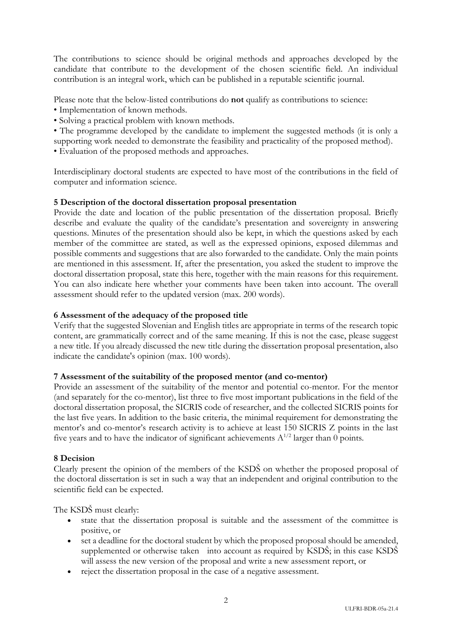The contributions to science should be original methods and approaches developed by the candidate that contribute to the development of the chosen scientific field. An individual contribution is an integral work, which can be published in a reputable scientific journal.

Please note that the below-listed contributions do **not** qualify as contributions to science:

- Implementation of known methods.
- Solving a practical problem with known methods.

• The programme developed by the candidate to implement the suggested methods (it is only a supporting work needed to demonstrate the feasibility and practicality of the proposed method).

• Evaluation of the proposed methods and approaches.

Interdisciplinary doctoral students are expected to have most of the contributions in the field of computer and information science.

# **5 Description of the doctoral dissertation proposal presentation**

Provide the date and location of the public presentation of the dissertation proposal. Briefly describe and evaluate the quality of the candidate's presentation and sovereignty in answering questions. Minutes of the presentation should also be kept, in which the questions asked by each member of the committee are stated, as well as the expressed opinions, exposed dilemmas and possible comments and suggestions that are also forwarded to the candidate. Only the main points are mentioned in this assessment. If, after the presentation, you asked the student to improve the doctoral dissertation proposal, state this here, together with the main reasons for this requirement. You can also indicate here whether your comments have been taken into account. The overall assessment should refer to the updated version (max. 200 words).

## **6 Assessment of the adequacy of the proposed title**

Verify that the suggested Slovenian and English titles are appropriate in terms of the research topic content, are grammatically correct and of the same meaning. If this is not the case, please suggest a new title. If you already discussed the new title during the dissertation proposal presentation, also indicate the candidate's opinion (max. 100 words).

### **7 Assessment of the suitability of the proposed mentor (and co-mentor)**

Provide an assessment of the suitability of the mentor and potential co-mentor. For the mentor (and separately for the co-mentor), list three to five most important publications in the field of the doctoral dissertation proposal, the SICRIS code of researcher, and the collected SICRIS points for the last five years. In addition to the basic criteria, the minimal requirement for demonstrating the mentor's and co-mentor's research activity is to achieve at least 150 SICRIS Z points in the last five years and to have the indicator of significant achievements  $A^{1/2}$  larger than 0 points.

### **8 Decision**

Clearly present the opinion of the members of the KSDŠ on whether the proposed proposal of the doctoral dissertation is set in such a way that an independent and original contribution to the scientific field can be expected.

The KSDŠ must clearly:

- state that the dissertation proposal is suitable and the assessment of the committee is positive, or
- set a deadline for the doctoral student by which the proposed proposal should be amended, supplemented or otherwise taken into account as required by KSDŠ; in this case KSDŠ will assess the new version of the proposal and write a new assessment report, or
- reject the dissertation proposal in the case of a negative assessment.